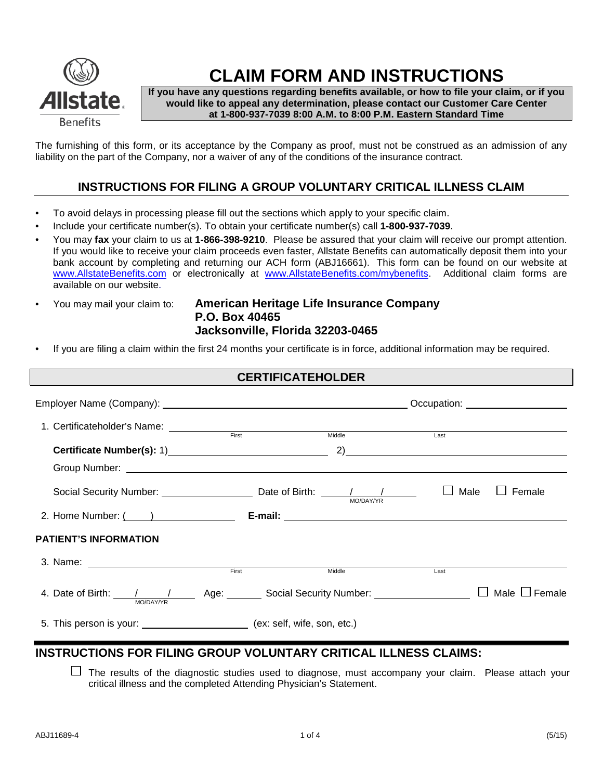

# **CLAIM FORM AND INSTRUCTIONS**

**If you have any questions regarding benefits available, or how to file your claim, or if you would like to appeal any determination, please contact our Customer Care Center at 1-800-937-7039 8:00 A.M. to 8:00 P.M. Eastern Standard Time**

The furnishing of this form, or its acceptance by the Company as proof, must not be construed as an admission of any liability on the part of the Company, nor a waiver of any of the conditions of the insurance contract.

## **INSTRUCTIONS FOR FILING A GROUP VOLUNTARY CRITICAL ILLNESS CLAIM**

- To avoid delays in processing please fill out the sections which apply to your specific claim.
- Include your certificate number(s). To obtain your certificate number(s) call **1-800-937-7039**.
- You may **fax** your claim to us at **1-866-398-9210**. Please be assured that your claim will receive our prompt attention. If you would like to receive your claim proceeds even faster, Allstate Benefits can automatically deposit them into your bank account by completing and returning our ACH form (ABJ16661). This form can be found on our website at [www.AllstateBenefits.com](http://www.allstatebenefits.com/) or electronically at [www.AllstateBenefits.com/mybenefits.](http://www.allstatebenefits.com/mybenefits) Additional claim forms are available on our website.
- 

#### • You may mail your claim to: **American Heritage Life Insurance Company P.O. Box 40465 Jacksonville, Florida 32203-0465**

• If you are filing a claim within the first 24 months your certificate is in force, additional information may be required.

| <b>CERTIFICATEHOLDER</b>                                                                                                                         |                                                                                                                                                                                              |        |             |                    |  |  |
|--------------------------------------------------------------------------------------------------------------------------------------------------|----------------------------------------------------------------------------------------------------------------------------------------------------------------------------------------------|--------|-------------|--------------------|--|--|
|                                                                                                                                                  |                                                                                                                                                                                              |        |             |                    |  |  |
| 1. Certificateholder's Name: First First                                                                                                         |                                                                                                                                                                                              | Middle | Last        |                    |  |  |
|                                                                                                                                                  |                                                                                                                                                                                              |        |             |                    |  |  |
|                                                                                                                                                  |                                                                                                                                                                                              |        |             |                    |  |  |
| Social Security Number: $\frac{1}{\sqrt{1-\frac{1}{2}}}\sqrt{1-\frac{1}{2}}$ Date of Birth: $\frac{1}{\sqrt{1-\frac{1}{2}}}\sqrt{1-\frac{1}{2}}$ |                                                                                                                                                                                              |        | $\Box$ Male | Female             |  |  |
|                                                                                                                                                  | 2. Home Number: ( ) <b>E-mail: E-mail: E-mail: E-mail: E-mail: E-mail: E-mail: E-mail: E-mail: E-mail: E-mail: E-mail: E-mail: E-mail: E-mail: E-mail: E-mail: E-mail: E-mail: E-mail: E</b> |        |             |                    |  |  |
| <b>PATIENT'S INFORMATION</b>                                                                                                                     |                                                                                                                                                                                              |        |             |                    |  |  |
|                                                                                                                                                  | First                                                                                                                                                                                        | Middle | Last        |                    |  |  |
| 4. Date of Birth: $\frac{1}{\text{MO}/\text{DAY/YR}}$ Age: Social Security Number: $\Box$                                                        |                                                                                                                                                                                              |        |             | Male $\Box$ Female |  |  |
| 5. This person is your: __________________________ (ex: self, wife, son, etc.)                                                                   |                                                                                                                                                                                              |        |             |                    |  |  |

### **INSTRUCTIONS FOR FILING GROUP VOLUNTARY CRITICAL ILLNESS CLAIMS:**

 $\Box$  The results of the diagnostic studies used to diagnose, must accompany your claim. Please attach your critical illness and the completed Attending Physician's Statement.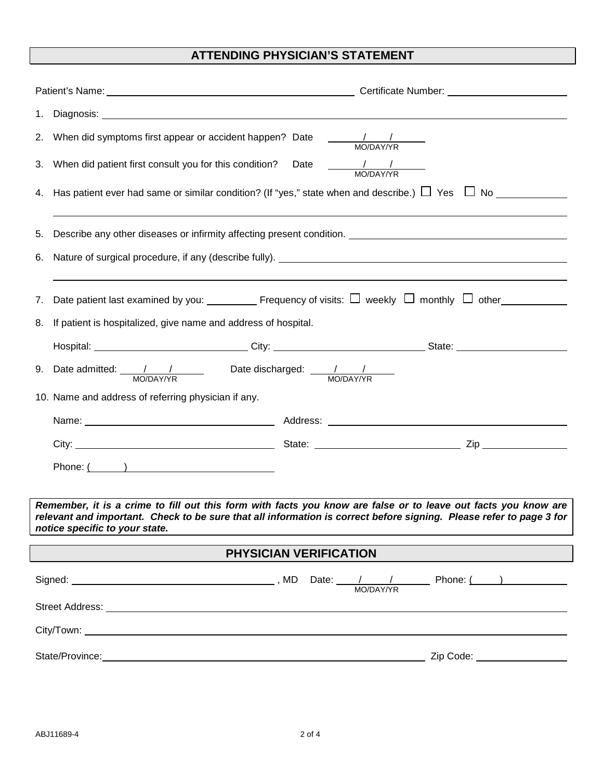# **ATTENDING PHYSICIAN'S STATEMENT**

| 2. When did symptoms first appear or accident happen? Date $\frac{1}{1-\frac{1}{1-\frac{1}{1-\frac{1}{1-\frac{1}{1-\frac{1}{1-\frac{1}{1-\frac{1}{1-\frac{1}{1-\frac{1}{1-\frac{1}{1-\frac{1}{1-\frac{1}{1-\frac{1}{1-\frac{1}{1-\frac{1}{1-\frac{1}{1-\frac{1}{1-\frac{1}{1-\frac{1}{1-\frac{1}{1-\frac{1}{1-\frac{1}{1-\frac{1}{1-\frac{1}{1-\frac{1}{1-\frac{1}{$                                   |                                                                                                                                |  |  |  |  |  |
|--------------------------------------------------------------------------------------------------------------------------------------------------------------------------------------------------------------------------------------------------------------------------------------------------------------------------------------------------------------------------------------------------------|--------------------------------------------------------------------------------------------------------------------------------|--|--|--|--|--|
| 3. When did patient first consult you for this condition? Date $\frac{1}{1-\frac{1}{1-\frac{1}{1-\frac{1}{1-\frac{1}{1-\frac{1}{1-\frac{1}{1-\frac{1}{1-\frac{1}{1-\frac{1}{1-\frac{1}{1-\frac{1}{1-\frac{1}{1-\frac{1}{1-\frac{1}{1-\frac{1}{1-\frac{1}{1-\frac{1}{1-\frac{1}{1-\frac{1}{1-\frac{1}{1-\frac{1}{1-\frac{1}{1-\frac{1}{1-\frac{1}{1-\frac{1}{1-\$                                       |                                                                                                                                |  |  |  |  |  |
| 4. Has patient ever had same or similar condition? (If "yes," state when and describe.) $\Box$ Yes $\Box$ No $\Box$                                                                                                                                                                                                                                                                                    |                                                                                                                                |  |  |  |  |  |
| 5.                                                                                                                                                                                                                                                                                                                                                                                                     |                                                                                                                                |  |  |  |  |  |
| 6.                                                                                                                                                                                                                                                                                                                                                                                                     |                                                                                                                                |  |  |  |  |  |
|                                                                                                                                                                                                                                                                                                                                                                                                        |                                                                                                                                |  |  |  |  |  |
| 7. Date patient last examined by you: ___________ Frequency of visits: $\Box$ weekly $\Box$ monthly $\Box$ other____________                                                                                                                                                                                                                                                                           |                                                                                                                                |  |  |  |  |  |
| 8. If patient is hospitalized, give name and address of hospital.                                                                                                                                                                                                                                                                                                                                      |                                                                                                                                |  |  |  |  |  |
|                                                                                                                                                                                                                                                                                                                                                                                                        | Hospital: _______________________________City: __________________________________State: ______________________                 |  |  |  |  |  |
| 9. Date admitted: $\frac{1}{1-\frac{1}{1-\frac{1}{1-\frac{1}{1-\frac{1}{1-\frac{1}{1-\frac{1}{1-\frac{1}{1-\frac{1}{1-\frac{1}{1-\frac{1}{1-\frac{1}{1-\frac{1}{1-\frac{1}{1-\frac{1}{1-\frac{1}{1-\frac{1}{1-\frac{1}{1-\frac{1}{1-\frac{1}{1-\frac{1}{1-\frac{1}{1-\frac{1}{1-\frac{1}{1-\frac{1}{1-\frac{1}{1-\frac{1}{1-\frac{1}{1-\frac{1}{1-\frac{1}{1-\frac{1}{1-\frac{1}{1-\frac{1}{1-\frac{1$ |                                                                                                                                |  |  |  |  |  |
| 10. Name and address of referring physician if any.                                                                                                                                                                                                                                                                                                                                                    |                                                                                                                                |  |  |  |  |  |
|                                                                                                                                                                                                                                                                                                                                                                                                        |                                                                                                                                |  |  |  |  |  |
|                                                                                                                                                                                                                                                                                                                                                                                                        |                                                                                                                                |  |  |  |  |  |
| Phone: $($ and $)$ and $($ and $)$ and $($ and $)$ and $($ $)$ and $($ $)$ and $($ $)$ and $($ $)$ and $($ $)$ and $($ $)$ and $($ $)$ and $($ $)$ and $($ $)$ and $($ $)$ and $($ $)$ and $($ $)$ and $($ $)$ and $($ $)$ an                                                                                                                                                                          |                                                                                                                                |  |  |  |  |  |
|                                                                                                                                                                                                                                                                                                                                                                                                        |                                                                                                                                |  |  |  |  |  |
| Remember, it is a crime to fill out this form with facts you know are false or to leave out facts you know are<br>relevant and important. Check to be sure that all information is correct before signing. Please refer to page 3 for                                                                                                                                                                  |                                                                                                                                |  |  |  |  |  |
| notice specific to your state.                                                                                                                                                                                                                                                                                                                                                                         |                                                                                                                                |  |  |  |  |  |
| PHYSICIAN VERIFICATION                                                                                                                                                                                                                                                                                                                                                                                 |                                                                                                                                |  |  |  |  |  |
|                                                                                                                                                                                                                                                                                                                                                                                                        | Signed: Signed: $\frac{1}{\sqrt{N}}$ , MD Date: $\frac{1}{\sqrt{N}}$ Phone: $\frac{1}{\sqrt{N}}$                               |  |  |  |  |  |
|                                                                                                                                                                                                                                                                                                                                                                                                        | Street Address: <u>The Communication</u> Contract of the Communication Communication Communication Communication Communication |  |  |  |  |  |
|                                                                                                                                                                                                                                                                                                                                                                                                        |                                                                                                                                |  |  |  |  |  |
| State/Province: <u>Contract Communication</u> Contract Communication Communication Communication Communication                                                                                                                                                                                                                                                                                         | Zip Code: __________________                                                                                                   |  |  |  |  |  |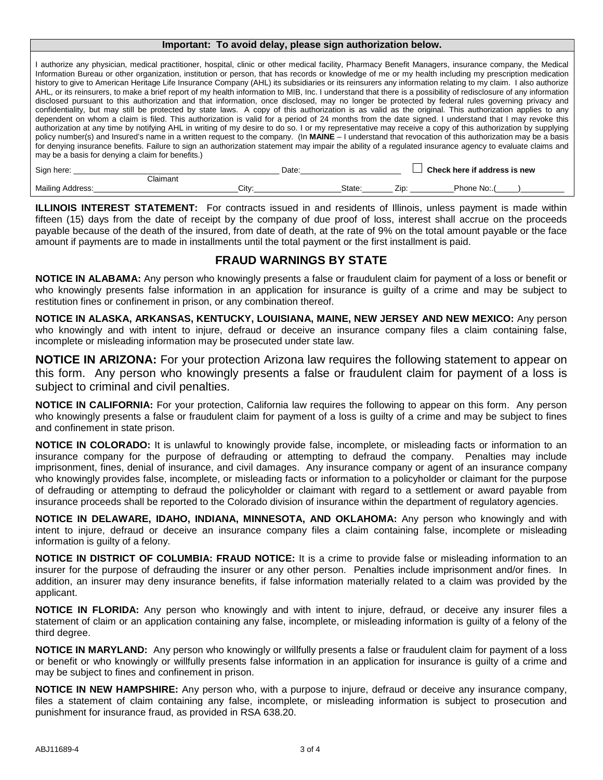#### **Important: To avoid delay, please sign authorization below.**

| I authorize any physician, medical practitioner, hospital, clinic or other medical facility, Pharmacy Benefit Managers, insurance company, the Medical<br>Information Bureau or other organization, institution or person, that has records or knowledge of me or my health including my prescription medication<br>history to give to American Heritage Life Insurance Company (AHL) its subsidiaries or its reinsurers any information relating to my claim. I also authorize<br>AHL, or its reinsurers, to make a brief report of my health information to MIB, Inc. I understand that there is a possibility of redisclosure of any information                                                                                                                                                                                                                                                                                                                                                       |
|-----------------------------------------------------------------------------------------------------------------------------------------------------------------------------------------------------------------------------------------------------------------------------------------------------------------------------------------------------------------------------------------------------------------------------------------------------------------------------------------------------------------------------------------------------------------------------------------------------------------------------------------------------------------------------------------------------------------------------------------------------------------------------------------------------------------------------------------------------------------------------------------------------------------------------------------------------------------------------------------------------------|
| disclosed pursuant to this authorization and that information, once disclosed, may no longer be protected by federal rules governing privacy and<br>confidentiality, but may still be protected by state laws. A copy of this authorization is as valid as the original. This authorization applies to any<br>dependent on whom a claim is filed. This authorization is valid for a period of 24 months from the date signed. I understand that I may revoke this<br>authorization at any time by notifying AHL in writing of my desire to do so. I or my representative may receive a copy of this authorization by supplying<br>policy number(s) and Insured's name in a written request to the company. (In MAINE – I understand that revocation of this authorization may be a basis<br>for denying insurance benefits. Failure to sign an authorization statement may impair the ability of a regulated insurance agency to evaluate claims and<br>may be a basis for denying a claim for benefits.) |
|                                                                                                                                                                                                                                                                                                                                                                                                                                                                                                                                                                                                                                                                                                                                                                                                                                                                                                                                                                                                           |

| Sign here:       |          | Date |               | Check here if address is new |
|------------------|----------|------|---------------|------------------------------|
|                  | Claimant |      |               |                              |
| Mailing Address: | Citv:    |      | State:<br>Zip | Phone No:.                   |

**ILLINOIS INTEREST STATEMENT:** For contracts issued in and residents of Illinois, unless payment is made within fifteen (15) days from the date of receipt by the company of due proof of loss, interest shall accrue on the proceeds payable because of the death of the insured, from date of death, at the rate of 9% on the total amount payable or the face amount if payments are to made in installments until the total payment or the first installment is paid.

### **FRAUD WARNINGS BY STATE**

**NOTICE IN ALABAMA:** Any person who knowingly presents a false or fraudulent claim for payment of a loss or benefit or who knowingly presents false information in an application for insurance is guilty of a crime and may be subject to restitution fines or confinement in prison, or any combination thereof.

**NOTICE IN ALASKA, ARKANSAS, KENTUCKY, LOUISIANA, MAINE, NEW JERSEY AND NEW MEXICO:** Any person who knowingly and with intent to injure, defraud or deceive an insurance company files a claim containing false, incomplete or misleading information may be prosecuted under state law.

**NOTICE IN ARIZONA:** For your protection Arizona law requires the following statement to appear on this form. Any person who knowingly presents a false or fraudulent claim for payment of a loss is subject to criminal and civil penalties.

**NOTICE IN CALIFORNIA:** For your protection, California law requires the following to appear on this form. Any person who knowingly presents a false or fraudulent claim for payment of a loss is quilty of a crime and may be subject to fines and confinement in state prison.

**NOTICE IN COLORADO:** It is unlawful to knowingly provide false, incomplete, or misleading facts or information to an insurance company for the purpose of defrauding or attempting to defraud the company. Penalties may include imprisonment, fines, denial of insurance, and civil damages. Any insurance company or agent of an insurance company who knowingly provides false, incomplete, or misleading facts or information to a policyholder or claimant for the purpose of defrauding or attempting to defraud the policyholder or claimant with regard to a settlement or award payable from insurance proceeds shall be reported to the Colorado division of insurance within the department of regulatory agencies.

**NOTICE IN DELAWARE, IDAHO, INDIANA, MINNESOTA, AND OKLAHOMA:** Any person who knowingly and with intent to injure, defraud or deceive an insurance company files a claim containing false, incomplete or misleading information is guilty of a felony.

**NOTICE IN DISTRICT OF COLUMBIA: FRAUD NOTICE:** It is a crime to provide false or misleading information to an insurer for the purpose of defrauding the insurer or any other person. Penalties include imprisonment and/or fines. In addition, an insurer may deny insurance benefits, if false information materially related to a claim was provided by the applicant.

**NOTICE IN FLORIDA:** Any person who knowingly and with intent to injure, defraud, or deceive any insurer files a statement of claim or an application containing any false, incomplete, or misleading information is guilty of a felony of the third degree.

**NOTICE IN MARYLAND:** Any person who knowingly or willfully presents a false or fraudulent claim for payment of a loss or benefit or who knowingly or willfully presents false information in an application for insurance is guilty of a crime and may be subject to fines and confinement in prison.

**NOTICE IN NEW HAMPSHIRE:** Any person who, with a purpose to injure, defraud or deceive any insurance company, files a statement of claim containing any false, incomplete, or misleading information is subject to prosecution and punishment for insurance fraud, as provided in RSA 638.20.